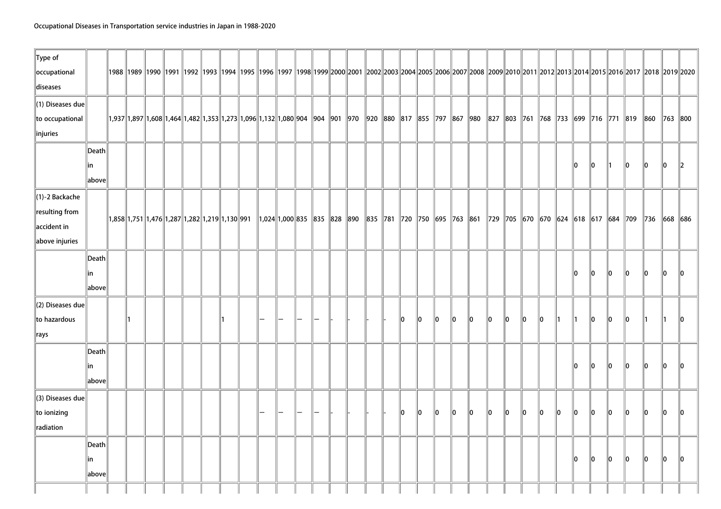| Type of<br>occupational      |                 |                                                                                                                                       |  |  |  |                                                                                                                                                                                                                     |  |  |  |    |    |    |     |    |    |     |     |     |     |     |      |                                                     | 1988   1990   1990   1991   1992   1993   1994   1995   1996   1997   1998  1999  2000  2001   2002  2003  2004  2005  2006  2007  2008   2009  2010  2011  2012  2013  2014  2012  2013  2014  2015  2016  2017   2018   201 |          |                 |               |
|------------------------------|-----------------|---------------------------------------------------------------------------------------------------------------------------------------|--|--|--|---------------------------------------------------------------------------------------------------------------------------------------------------------------------------------------------------------------------|--|--|--|----|----|----|-----|----|----|-----|-----|-----|-----|-----|------|-----------------------------------------------------|-------------------------------------------------------------------------------------------------------------------------------------------------------------------------------------------------------------------------------|----------|-----------------|---------------|
| diseases                     |                 |                                                                                                                                       |  |  |  |                                                                                                                                                                                                                     |  |  |  |    |    |    |     |    |    |     |     |     |     |     |      |                                                     |                                                                                                                                                                                                                               |          |                 |               |
| (1) Diseases due             |                 |                                                                                                                                       |  |  |  |                                                                                                                                                                                                                     |  |  |  |    |    |    |     |    |    |     |     |     |     |     |      |                                                     |                                                                                                                                                                                                                               |          |                 |               |
| to occupational              |                 | 1,937  1,897  1,608  1,464  1,482  1,353  1,273  1,096  1,132  1,080  904   904   901   970   920   880   817   855   797   867   980 |  |  |  |                                                                                                                                                                                                                     |  |  |  |    |    |    |     |    |    |     |     |     |     |     |      |                                                     | 827   803   761   768   733   699   716   771   819   860                                                                                                                                                                     |          | $\  763 \  800$ |               |
| linjuries                    |                 |                                                                                                                                       |  |  |  |                                                                                                                                                                                                                     |  |  |  |    |    |    |     |    |    |     |     |     |     |     |      |                                                     |                                                                                                                                                                                                                               |          |                 |               |
|                              | Death           |                                                                                                                                       |  |  |  |                                                                                                                                                                                                                     |  |  |  |    |    |    |     |    |    |     |     |     |     |     |      |                                                     |                                                                                                                                                                                                                               |          |                 |               |
|                              | lin             |                                                                                                                                       |  |  |  |                                                                                                                                                                                                                     |  |  |  |    |    |    |     |    |    |     |     |     |     | 10  | 10   | ∥1                                                  | $\mathbf{0}$                                                                                                                                                                                                                  | llo.     | 10              | $\mathbb{I}2$ |
|                              | above           |                                                                                                                                       |  |  |  |                                                                                                                                                                                                                     |  |  |  |    |    |    |     |    |    |     |     |     |     |     |      |                                                     |                                                                                                                                                                                                                               |          |                 |               |
| $\ $ (1)-2 Backache          |                 |                                                                                                                                       |  |  |  |                                                                                                                                                                                                                     |  |  |  |    |    |    |     |    |    |     |     |     |     |     |      |                                                     |                                                                                                                                                                                                                               |          |                 |               |
| resulting from               |                 | $\ 1,858\ 1,751\ 1,476\ 1,287\ 1,282\ 1,219\ 1,130\ 991$                                                                              |  |  |  | $\parallel$ 1,024 $\parallel$ 1,000 $\parallel$ 835 $\parallel$ 835 $\parallel$ 828 $\parallel$ 890 $\parallel$ 835 $\parallel$ 781 $\parallel$ 720 $\parallel$ 750 $\parallel$ 695 $\parallel$ 763 $\parallel$ 861 |  |  |  |    |    |    |     |    |    |     |     |     |     |     |      | 729   705   670   670   624   618   617   684   709 |                                                                                                                                                                                                                               | $\ $ 736 |                 | 668 686       |
| accident in                  |                 |                                                                                                                                       |  |  |  |                                                                                                                                                                                                                     |  |  |  |    |    |    |     |    |    |     |     |     |     |     |      |                                                     |                                                                                                                                                                                                                               |          |                 |               |
| above injuries               |                 |                                                                                                                                       |  |  |  |                                                                                                                                                                                                                     |  |  |  |    |    |    |     |    |    |     |     |     |     |     |      |                                                     |                                                                                                                                                                                                                               |          |                 |               |
|                              | Death           |                                                                                                                                       |  |  |  |                                                                                                                                                                                                                     |  |  |  |    |    |    |     |    |    |     |     |     |     |     |      |                                                     |                                                                                                                                                                                                                               |          |                 |               |
|                              | lin             |                                                                                                                                       |  |  |  |                                                                                                                                                                                                                     |  |  |  |    |    |    |     |    |    |     |     |     |     | lo. | 10   | llo.                                                | $\mathbf{0}$                                                                                                                                                                                                                  | 10       | 10              | llo.          |
|                              | above           |                                                                                                                                       |  |  |  |                                                                                                                                                                                                                     |  |  |  |    |    |    |     |    |    |     |     |     |     |     |      |                                                     |                                                                                                                                                                                                                               |          |                 |               |
| $\parallel$ (2) Diseases due |                 |                                                                                                                                       |  |  |  |                                                                                                                                                                                                                     |  |  |  |    |    |    |     |    |    |     |     |     |     |     |      |                                                     |                                                                                                                                                                                                                               |          |                 |               |
| to hazardous                 |                 |                                                                                                                                       |  |  |  |                                                                                                                                                                                                                     |  |  |  | 10 | 10 | 10 | 10  | 10 | 10 | 10  | llo | 10  | ∥1  | 11  | llo. | ∥o                                                  | $\mathbf{0}$                                                                                                                                                                                                                  |          |                 | llo.          |
| $\Vert$ rays                 |                 |                                                                                                                                       |  |  |  |                                                                                                                                                                                                                     |  |  |  |    |    |    |     |    |    |     |     |     |     |     |      |                                                     |                                                                                                                                                                                                                               |          |                 |               |
|                              | Death           |                                                                                                                                       |  |  |  |                                                                                                                                                                                                                     |  |  |  |    |    |    |     |    |    |     |     |     |     |     |      |                                                     |                                                                                                                                                                                                                               |          |                 |               |
|                              | lin             |                                                                                                                                       |  |  |  |                                                                                                                                                                                                                     |  |  |  |    |    |    |     |    |    |     |     |     |     | 10  | llo. | llo.                                                | ۱O                                                                                                                                                                                                                            | ll0      | llo             | l0.           |
|                              | above           |                                                                                                                                       |  |  |  |                                                                                                                                                                                                                     |  |  |  |    |    |    |     |    |    |     |     |     |     |     |      |                                                     |                                                                                                                                                                                                                               |          |                 |               |
| (3) Diseases due             |                 |                                                                                                                                       |  |  |  |                                                                                                                                                                                                                     |  |  |  |    |    |    |     |    |    |     |     |     |     |     |      |                                                     |                                                                                                                                                                                                                               |          |                 |               |
| to ionizing                  |                 |                                                                                                                                       |  |  |  |                                                                                                                                                                                                                     |  |  |  | 10 | 10 | 10 | llo | 10 | 10 | ۱In | 10  | llo | llo | lo. | 10   | 10                                                  | ۱n                                                                                                                                                                                                                            | 10       | llo             | l0.           |
| radiation                    |                 |                                                                                                                                       |  |  |  |                                                                                                                                                                                                                     |  |  |  |    |    |    |     |    |    |     |     |     |     |     |      |                                                     |                                                                                                                                                                                                                               |          |                 |               |
|                              | $\ $ Death $\ $ |                                                                                                                                       |  |  |  |                                                                                                                                                                                                                     |  |  |  |    |    |    |     |    |    |     |     |     |     |     |      |                                                     |                                                                                                                                                                                                                               |          |                 |               |
|                              | lin.            |                                                                                                                                       |  |  |  |                                                                                                                                                                                                                     |  |  |  |    |    |    |     |    |    |     |     |     |     | 10  | llo. | ∥o                                                  | llo.                                                                                                                                                                                                                          | llo.     | lo.             | llo.          |
|                              | above           |                                                                                                                                       |  |  |  |                                                                                                                                                                                                                     |  |  |  |    |    |    |     |    |    |     |     |     |     |     |      |                                                     |                                                                                                                                                                                                                               |          |                 |               |
|                              |                 |                                                                                                                                       |  |  |  |                                                                                                                                                                                                                     |  |  |  |    |    |    |     |    |    |     |     |     |     |     |      |                                                     |                                                                                                                                                                                                                               |          |                 |               |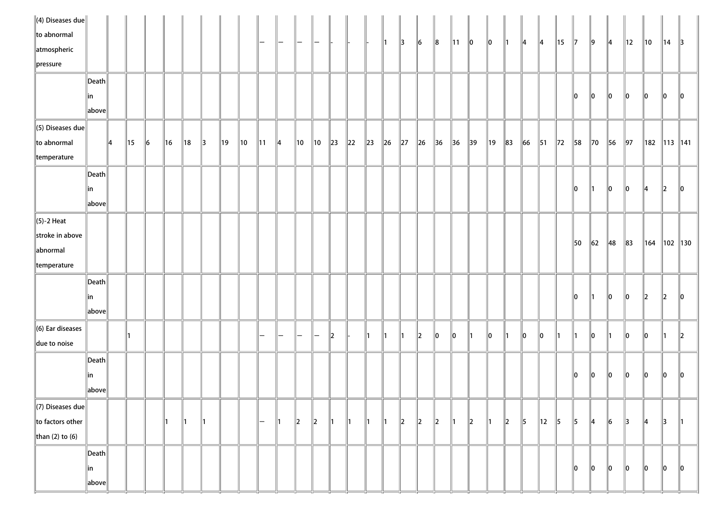| $\ $ (4) Diseases due $\ $   |                       |    |                |    |    |               |               |    |    |    |          |             |                |          |          |          |          |            |               |                |                |                |               |               |               |                |                |                |                |                |               |                 |              |               |
|------------------------------|-----------------------|----|----------------|----|----|---------------|---------------|----|----|----|----------|-------------|----------------|----------|----------|----------|----------|------------|---------------|----------------|----------------|----------------|---------------|---------------|---------------|----------------|----------------|----------------|----------------|----------------|---------------|-----------------|--------------|---------------|
| to abnormal                  |                       |    |                |    |    |               |               |    |    |    | —        |             |                |          |          |          | ∥1∶      | 13         | $\vert$ 6     | $\ 8$          | $\ 11\ $       | $\ 0\ $        | $\parallel$ 0 | $\parallel$ 1 | $\parallel$ 4 | 14             | 15             | 17             | $\ 9\ $        | $\parallel$ 4  | 12            | $\parallel$ 10  | $ 14\rangle$ | $\parallel$ 3 |
| atmospheric                  |                       |    |                |    |    |               |               |    |    |    |          |             |                |          |          |          |          |            |               |                |                |                |               |               |               |                |                |                |                |                |               |                 |              |               |
| pressure                     |                       |    |                |    |    |               |               |    |    |    |          |             |                |          |          |          |          |            |               |                |                |                |               |               |               |                |                |                |                |                |               |                 |              |               |
|                              | Death                 |    |                |    |    |               |               |    |    |    |          |             |                |          |          |          |          |            |               |                |                |                |               |               |               |                |                |                |                |                |               |                 |              |               |
|                              | in                    |    |                |    |    |               |               |    |    |    |          |             |                |          |          |          |          |            |               |                |                |                |               |               |               |                |                | 10             | $\parallel$ 0  | $\ 0\ $        | $\parallel$ 0 | ∥o              | $\mathbf{I}$ | $\parallel$ 0 |
|                              | $\ $ above $\ $       |    |                |    |    |               |               |    |    |    |          |             |                |          |          |          |          |            |               |                |                |                |               |               |               |                |                |                |                |                |               |                 |              |               |
| $\parallel$ (5) Diseases due |                       |    |                |    |    |               |               |    |    |    |          |             |                |          |          |          |          |            |               |                |                |                |               |               |               |                |                |                |                |                |               |                 |              |               |
| to abnormal                  |                       | 14 | $\parallel$ 15 | 16 | 16 | 18            | $\parallel$ 3 | 19 | 10 | 11 | 14       | 10          | $\parallel$ 10 | $\ 23\ $ | $\ 22\ $ | $\ 23\ $ | $\ 26\ $ | $\vert$ 27 | $\ 26\ $      | $\parallel$ 36 | $\parallel$ 36 | $\parallel$ 39 | 19            | $\ 83\ $      | 66            | $\vert$ 51     | $\parallel$ 72 | 58             | $\parallel$ 70 | 56             | $\vert$ 97    | 182             |              | 113   141     |
| temperature                  |                       |    |                |    |    |               |               |    |    |    |          |             |                |          |          |          |          |            |               |                |                |                |               |               |               |                |                |                |                |                |               |                 |              |               |
|                              | $\vert$ Death $\vert$ |    |                |    |    |               |               |    |    |    |          |             |                |          |          |          |          |            |               |                |                |                |               |               |               |                |                |                |                |                |               |                 |              |               |
|                              | in                    |    |                |    |    |               |               |    |    |    |          |             |                |          |          |          |          |            |               |                |                |                |               |               |               |                |                | 10             | $\parallel$ 1  | ∥o             | 10            | 14              | $\ 2\ $      | 10            |
|                              | $\ $ above $\ $       |    |                |    |    |               |               |    |    |    |          |             |                |          |          |          |          |            |               |                |                |                |               |               |               |                |                |                |                |                |               |                 |              |               |
| $\ $ (5)-2 Heat              |                       |    |                |    |    |               |               |    |    |    |          |             |                |          |          |          |          |            |               |                |                |                |               |               |               |                |                |                |                |                |               |                 |              |               |
| stroke in above              |                       |    |                |    |    |               |               |    |    |    |          |             |                |          |          |          |          |            |               |                |                |                |               |               |               |                |                |                |                |                |               |                 |              |               |
| abnormal                     |                       |    |                |    |    |               |               |    |    |    |          |             |                |          |          |          |          |            |               |                |                |                |               |               |               |                |                | $\parallel$ 50 | $\vert$ 62     | $\parallel$ 48 | $\ $ 83       | $\parallel$ 164 |              | 102   130     |
| temperature                  |                       |    |                |    |    |               |               |    |    |    |          |             |                |          |          |          |          |            |               |                |                |                |               |               |               |                |                |                |                |                |               |                 |              |               |
|                              | $\vert$ Death $\vert$ |    |                |    |    |               |               |    |    |    |          |             |                |          |          |          |          |            |               |                |                |                |               |               |               |                |                |                |                |                |               |                 |              |               |
|                              |                       |    |                |    |    |               |               |    |    |    |          |             |                |          |          |          |          |            |               |                |                |                |               |               |               |                |                | 10             |                |                |               |                 |              |               |
|                              | in                    |    |                |    |    |               |               |    |    |    |          |             |                |          |          |          |          |            |               |                |                |                |               |               |               |                |                |                | 11             | 10             | 10            | $ 2\rangle$     | $\ 2\ $      | 110           |
|                              | $\ $ above $\ $       |    |                |    |    |               |               |    |    |    |          |             |                |          |          |          |          |            |               |                |                |                |               |               |               |                |                |                |                |                |               |                 |              |               |
| $\ $ (6) Ear diseases        |                       |    |                |    |    |               |               |    |    |    | <u>.</u> |             |                | 12       |          | 11       | 11       | 11         | $\mathbb{I}2$ | 10             | $\parallel$ 0  | $\parallel$ 1  | 10            | 11            | 10            | 10             | ∥1             | $\parallel$ 1  | 10             |                | 10            | 10              | 11           | $\ 2\ $       |
| due to noise                 |                       |    |                |    |    |               |               |    |    |    |          |             |                |          |          |          |          |            |               |                |                |                |               |               |               |                |                |                |                |                |               |                 |              |               |
|                              | $\vert$ Death $\vert$ |    |                |    |    |               |               |    |    |    |          |             |                |          |          |          |          |            |               |                |                |                |               |               |               |                |                |                |                |                |               |                 |              |               |
|                              | in                    |    |                |    |    |               |               |    |    |    |          |             |                |          |          |          |          |            |               |                |                |                |               |               |               |                |                | 10             | $ 0\rangle$    | $\ 0\ $        | 10            | 10              | 10           | $\parallel$ 0 |
|                              | $\ $ above $\ $       |    |                |    |    |               |               |    |    |    |          |             |                |          |          |          |          |            |               |                |                |                |               |               |               |                |                |                |                |                |               |                 |              |               |
| $\parallel$ (7) Diseases due |                       |    |                |    |    |               |               |    |    |    |          |             |                |          |          |          |          |            |               |                |                |                |               |               |               |                |                |                |                |                |               |                 |              |               |
| to factors other             |                       |    |                |    |    | $\parallel$ 1 | 11            |    |    | —  | ∥1       | $\parallel$ | $\ 2\ $        | ∥1       | 11       | 11       | ∥1       | $\ 2\ $    | $\ 2\ $       | 2              | $\parallel$ 1  | $\ 2\ $        | I۲            | 2             | $\parallel$ 5 | $\parallel$ 12 | $\vert$ 5      | $\parallel$ 5  | $\parallel$ 4  | $\vert$ 6      | $\parallel$ 3 | 14              | 13           | $\parallel$ 1 |
| than (2) to (6)              |                       |    |                |    |    |               |               |    |    |    |          |             |                |          |          |          |          |            |               |                |                |                |               |               |               |                |                |                |                |                |               |                 |              |               |
|                              | $\vert$ Death $\vert$ |    |                |    |    |               |               |    |    |    |          |             |                |          |          |          |          |            |               |                |                |                |               |               |               |                |                |                |                |                |               |                 |              |               |
|                              | ∥in                   |    |                |    |    |               |               |    |    |    |          |             |                |          |          |          |          |            |               |                |                |                |               |               |               |                |                | 10             | $\parallel$ 0  | $\parallel$ 0  | $\ 0\ $       | ∥0              | $\ 0\ $      | $\ 0\ $       |
|                              | $\ $ above $\ $       |    |                |    |    |               |               |    |    |    |          |             |                |          |          |          |          |            |               |                |                |                |               |               |               |                |                |                |                |                |               |                 |              |               |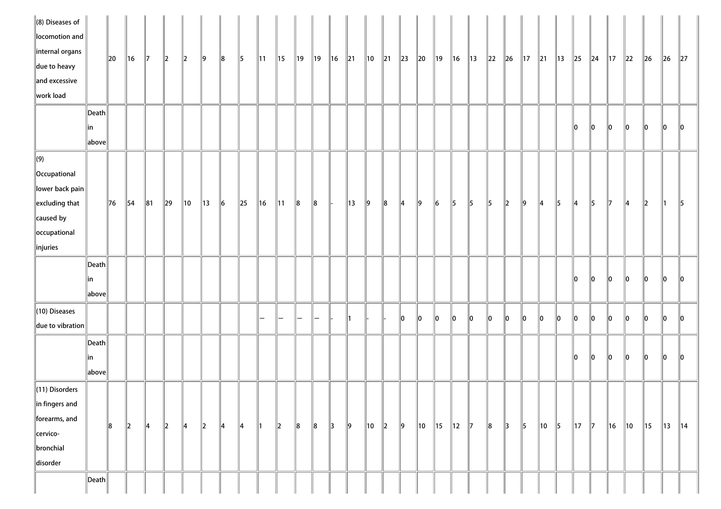| $\ $ (8) Diseases of<br>locomotion and<br>internal organs<br>due to heavy<br>and excessive<br>work load |                       | 20 | $\ $ 16        | $\parallel$ 7 | $\ 2\ $        | $\ 2\ $ | $\ 9\ $        | $\ 8$         | $\vert$ 5 | $\parallel$ 11 | $\parallel$ 15 | ∥19   | $\parallel$ 19 | ∥16 | $\ 21$         | $\parallel$ 10 | $\parallel$ 21 | $\ 23\ $ | $\ 20\ $       | ∥19       | $\parallel$ 16 | $\parallel$ 13 | $\ 22$ | $\ $ 26       | $\parallel$ 17 | $\ 21$ | $\parallel$ 13 | $\ 25\ $       | $\ 24$        | $\parallel$ 17 | $\ 22\ $       | $\ $ 26        | $\ 26\ $    | $\ 27\ $       |
|---------------------------------------------------------------------------------------------------------|-----------------------|----|----------------|---------------|----------------|---------|----------------|---------------|-----------|----------------|----------------|-------|----------------|-----|----------------|----------------|----------------|----------|----------------|-----------|----------------|----------------|--------|---------------|----------------|--------|----------------|----------------|---------------|----------------|----------------|----------------|-------------|----------------|
|                                                                                                         | $\ $ Death            |    |                |               |                |         |                |               |           |                |                |       |                |     |                |                |                |          |                |           |                |                |        |               |                |        |                |                |               |                |                |                |             |                |
|                                                                                                         | ∥in<br>above          |    |                |               |                |         |                |               |           |                |                |       |                |     |                |                |                |          |                |           |                |                |        |               |                |        |                | 10             | $\parallel$ 0 | $\parallel$ 0  | 10             | 10             | 10          | 110            |
| $\Vert(9)\Vert$                                                                                         |                       |    |                |               |                |         |                |               |           |                |                |       |                |     |                |                |                |          |                |           |                |                |        |               |                |        |                |                |               |                |                |                |             |                |
| Occupational                                                                                            |                       |    |                |               |                |         |                |               |           |                |                |       |                |     |                |                |                |          |                |           |                |                |        |               |                |        |                |                |               |                |                |                |             |                |
| $\ $ lower back pain $\ $                                                                               |                       |    |                |               |                |         |                |               |           |                |                |       |                |     |                |                |                |          |                |           |                |                |        |               |                |        |                |                |               |                |                |                |             |                |
| $\left\ $ excluding that                                                                                |                       | 76 | $\parallel$ 54 | $\ 81$        | $\parallel$ 29 | 10      | $\parallel$ 13 | $\parallel$ 6 | $\ 25\ $  | 16             | $\parallel$ 11 | $\ 8$ | $\ 8\ $        | ll- | $\parallel$ 13 | $\vert$ 9      | $\ 8$          | 14       | $\parallel$ 9  | $\vert$ 6 | 5              | $\parallel$ 5  | 15     | $\vert$ 2     | $\vert$ 9      | 14     | $\vert$ 5      | $\parallel$ 4  | $\parallel$ 5 | $\parallel$ 7  | 14             | $\parallel$ 2  | 11          | $\parallel$ 5  |
| caused by                                                                                               |                       |    |                |               |                |         |                |               |           |                |                |       |                |     |                |                |                |          |                |           |                |                |        |               |                |        |                |                |               |                |                |                |             |                |
| occupational                                                                                            |                       |    |                |               |                |         |                |               |           |                |                |       |                |     |                |                |                |          |                |           |                |                |        |               |                |        |                |                |               |                |                |                |             |                |
| linjuries                                                                                               |                       |    |                |               |                |         |                |               |           |                |                |       |                |     |                |                |                |          |                |           |                |                |        |               |                |        |                |                |               |                |                |                |             |                |
|                                                                                                         | $\ $ Death            |    |                |               |                |         |                |               |           |                |                |       |                |     |                |                |                |          |                |           |                |                |        |               |                |        |                |                |               |                |                |                |             |                |
|                                                                                                         | $\ $ in               |    |                |               |                |         |                |               |           |                |                |       |                |     |                |                |                |          |                |           |                |                |        |               |                |        |                | 10             | $ 0\rangle$   | $\ 0\ $        | $\ 0\ $        | $\ 0\ $        | $ 0\rangle$ | $\ 0\ $        |
|                                                                                                         | above                 |    |                |               |                |         |                |               |           |                |                |       |                |     |                |                |                |          |                |           |                |                |        |               |                |        |                |                |               |                |                |                |             |                |
| (10) Diseases                                                                                           |                       |    |                |               |                |         |                |               |           |                |                |       |                |     |                |                |                |          |                |           |                |                |        |               |                |        |                |                |               |                |                |                |             |                |
| due to vibration                                                                                        |                       |    |                |               |                |         |                |               |           |                |                |       |                |     |                |                |                | 10       | 10             | 10        | $\parallel$ 0  | 10             | 10     | 10            | llo.           | 10     | 10             | 10             | $\ 0\ $       | 10             | 10             | 10             | 10          | 10             |
|                                                                                                         | $\ $ Death $\ $       |    |                |               |                |         |                |               |           |                |                |       |                |     |                |                |                |          |                |           |                |                |        |               |                |        |                |                |               |                |                |                |             |                |
|                                                                                                         | ∥in                   |    |                |               |                |         |                |               |           |                |                |       |                |     |                |                |                |          |                |           |                |                |        |               |                |        |                | 10             | 10            | ∥o             | 10             | 10             | 10          | 110            |
|                                                                                                         | above                 |    |                |               |                |         |                |               |           |                |                |       |                |     |                |                |                |          |                |           |                |                |        |               |                |        |                |                |               |                |                |                |             |                |
| $\ $ (11) Disorders                                                                                     |                       |    |                |               |                |         |                |               |           |                |                |       |                |     |                |                |                |          |                |           |                |                |        |               |                |        |                |                |               |                |                |                |             |                |
| in fingers and                                                                                          |                       |    |                |               |                |         |                |               |           |                |                |       |                |     |                |                |                |          |                |           |                |                |        |               |                |        |                |                |               |                |                |                |             |                |
| forearms, and                                                                                           |                       |    |                |               |                |         |                |               |           |                |                |       |                |     |                |                |                |          |                |           |                |                |        |               |                |        |                |                |               |                |                |                |             |                |
| cervico-                                                                                                |                       | 8  | $\ 2\ $        | $\parallel$ 4 | $\ 2\ $        | 14      | $\ 2\ $        | $\parallel 4$ | 4         | ∥1             | 2              | $\ 8$ | $\ 8$          | 3   | $\ 9\ $        | $\parallel$ 10 | $ 2\rangle$    | $\ 9\ $  | $\parallel$ 10 | ∥15       | $\parallel$ 12 | $\parallel$ 7  | $\ 8$  | $\parallel$ 3 | $\parallel$ 5  | ∥10    | $\vert$ 5      | $\parallel$ 17 | $\parallel$ 7 | $\parallel$ 16 | $\parallel$ 10 | $\parallel$ 15 | 13          | $\parallel$ 14 |
| bronchial                                                                                               |                       |    |                |               |                |         |                |               |           |                |                |       |                |     |                |                |                |          |                |           |                |                |        |               |                |        |                |                |               |                |                |                |             |                |
| disorder                                                                                                |                       |    |                |               |                |         |                |               |           |                |                |       |                |     |                |                |                |          |                |           |                |                |        |               |                |        |                |                |               |                |                |                |             |                |
|                                                                                                         | $\vert$ Death $\vert$ |    |                |               |                |         |                |               |           |                |                |       |                |     |                |                |                |          |                |           |                |                |        |               |                |        |                |                |               |                |                |                |             |                |
|                                                                                                         |                       |    |                |               |                |         |                |               |           |                |                |       |                |     |                |                |                |          |                |           |                |                |        |               |                |        |                |                |               |                |                |                |             |                |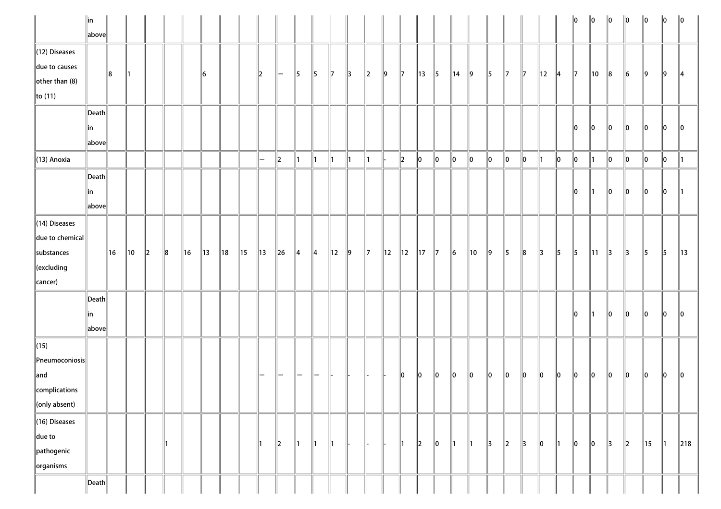|                                     | $\ $ in         |     |                |         |       |                |                |                |                |                   |              |                          |                 |                |         |             |    |                      |                |               |                |                |               |               |               |                |               | $\ 0\ $         | ∥o             | $\ 0\ $       | 0             | 10             | 10            | 10              |
|-------------------------------------|-----------------|-----|----------------|---------|-------|----------------|----------------|----------------|----------------|-------------------|--------------|--------------------------|-----------------|----------------|---------|-------------|----|----------------------|----------------|---------------|----------------|----------------|---------------|---------------|---------------|----------------|---------------|-----------------|----------------|---------------|---------------|----------------|---------------|-----------------|
|                                     | above           |     |                |         |       |                |                |                |                |                   |              |                          |                 |                |         |             |    |                      |                |               |                |                |               |               |               |                |               |                 |                |               |               |                |               |                 |
| $\ $ (12) Diseases                  |                 |     |                |         |       |                |                |                |                |                   |              |                          |                 |                |         |             |    |                      |                |               |                |                |               |               |               |                |               |                 |                |               |               |                |               |                 |
| due to causes                       |                 | 8   | 11             |         |       |                | 16             |                |                | 2                 | $\mathbb{I}$ | 15                       | $\parallel$ 5   | 117            | 13      | $\ 2\ $     | 9  | $\mathbb{I}$         | 13             | $\parallel$ 5 | $\parallel$ 14 | $\ 9\ $        | $\parallel$ 5 | $\parallel$ 7 | $\parallel$ 7 | $\parallel$ 12 | 14            | $\parallel$ 7   | $\parallel$ 10 | $\ 8\ $       | $\vert$ 6     | 9              | $\ 9\ $       | 14              |
| other than $(8)$                    |                 |     |                |         |       |                |                |                |                |                   |              |                          |                 |                |         |             |    |                      |                |               |                |                |               |               |               |                |               |                 |                |               |               |                |               |                 |
| $\ $ to (11)                        |                 |     |                |         |       |                |                |                |                |                   |              |                          |                 |                |         |             |    |                      |                |               |                |                |               |               |               |                |               |                 |                |               |               |                |               |                 |
|                                     | $\ $ Death      |     |                |         |       |                |                |                |                |                   |              |                          |                 |                |         |             |    |                      |                |               |                |                |               |               |               |                |               |                 |                |               |               |                |               |                 |
|                                     | ∥in             |     |                |         |       |                |                |                |                |                   |              |                          |                 |                |         |             |    |                      |                |               |                |                |               |               |               |                |               | $\mathsf{I}$ lo | $\parallel$ 0  | 10            | $\parallel$ 0 | 10             | 10            | 110             |
|                                     | above           |     |                |         |       |                |                |                |                |                   |              |                          |                 |                |         |             |    |                      |                |               |                |                |               |               |               |                |               |                 |                |               |               |                |               |                 |
| $\parallel$ (13) Anoxia             |                 |     |                |         |       |                |                |                |                | $\qquad \qquad -$ | $\ 2\ $      | $\parallel$ 1            | $\mathbf{I}$    | $\parallel$ 1  | 11      | ∥1          |    | $\vert$ <sub>2</sub> | $\parallel$ 0  | 10            | 10             | 10             | 10            | 10            | 10            | ∥1             | 10            | $ 0\rangle$     | 11             | 10            | 10            | 10             | 10            | 11              |
|                                     | $\ $ Death $\ $ |     |                |         |       |                |                |                |                |                   |              |                          |                 |                |         |             |    |                      |                |               |                |                |               |               |               |                |               |                 |                |               |               |                |               |                 |
|                                     | ∥in             |     |                |         |       |                |                |                |                |                   |              |                          |                 |                |         |             |    |                      |                |               |                |                |               |               |               |                |               | lo.             | $\parallel$ 1  | 10            | $\ 0\ $       | $\ 0\ $        | llo           | ∥1              |
|                                     | above           |     |                |         |       |                |                |                |                |                   |              |                          |                 |                |         |             |    |                      |                |               |                |                |               |               |               |                |               |                 |                |               |               |                |               |                 |
| $\ $ (14) Diseases                  |                 |     |                |         |       |                |                |                |                |                   |              |                          |                 |                |         |             |    |                      |                |               |                |                |               |               |               |                |               |                 |                |               |               |                |               |                 |
| due to chemical                     |                 |     |                |         |       |                |                |                |                |                   |              |                          |                 |                |         |             |    |                      |                |               |                |                |               |               |               |                |               |                 |                |               |               |                |               |                 |
| substances                          |                 | ∥16 | $\parallel$ 10 | $\ 2\ $ | $\ 8$ | $\parallel$ 16 | $\parallel$ 13 | $\parallel$ 18 | $\parallel$ 15 | $\parallel$ 13    | $\vert$ 26   | $\parallel$ 4            | $\vert 4 \vert$ | $\parallel$ 12 | $\ 9\ $ | $\parallel$ | 12 | $\parallel$ 12       | $\parallel$ 17 | $\parallel$ 7 | $\ 6\ $        | $\parallel$ 10 | $\ 9\ $       | $\parallel$ 5 | $\ 8$         | $\parallel$ 3  | $\parallel$ 5 | $\parallel$ 5   | $\parallel$ 11 | $\parallel$ 3 | $\parallel$ 3 | $\parallel$ 5  | $\vert$ 5     | $\parallel$ 13  |
| cexcluding                          |                 |     |                |         |       |                |                |                |                |                   |              |                          |                 |                |         |             |    |                      |                |               |                |                |               |               |               |                |               |                 |                |               |               |                |               |                 |
| $\vert$ cancer)                     |                 |     |                |         |       |                |                |                |                |                   |              |                          |                 |                |         |             |    |                      |                |               |                |                |               |               |               |                |               |                 |                |               |               |                |               |                 |
|                                     | $\ $ Death      |     |                |         |       |                |                |                |                |                   |              |                          |                 |                |         |             |    |                      |                |               |                |                |               |               |               |                |               |                 |                |               |               |                |               |                 |
|                                     | ∥in             |     |                |         |       |                |                |                |                |                   |              |                          |                 |                |         |             |    |                      |                |               |                |                |               |               |               |                |               | $\parallel$ 0   | $\parallel$ 1  | 10            | $\parallel$ 0 | 10             | 10            | $\mathsf{I}$ lo |
|                                     | above           |     |                |         |       |                |                |                |                |                   |              |                          |                 |                |         |             |    |                      |                |               |                |                |               |               |               |                |               |                 |                |               |               |                |               |                 |
| $\vert$ (15)                        |                 |     |                |         |       |                |                |                |                |                   |              |                          |                 |                |         |             |    |                      |                |               |                |                |               |               |               |                |               |                 |                |               |               |                |               |                 |
| $\left\ $ Pneumoconiosis $\right\ $ |                 |     |                |         |       |                |                |                |                |                   |              |                          |                 |                |         |             |    |                      |                |               |                |                |               |               |               |                |               |                 |                |               |               |                |               |                 |
| $\ $ and                            |                 |     |                |         |       |                |                |                |                |                   | ı —          | $\overline{\phantom{m}}$ |                 |                |         |             |    | lo.                  | 10             | 10            | 10             | 10             | 10            | 10            | 10            | 10             | $\ 0\ $       | $\ 0\ $         | $ 0\rangle$    | 10            | 10            | 10             | $\parallel$ 0 | llo.            |
| complications                       |                 |     |                |         |       |                |                |                |                |                   |              |                          |                 |                |         |             |    |                      |                |               |                |                |               |               |               |                |               |                 |                |               |               |                |               |                 |
| $\ $ (only absent)                  |                 |     |                |         |       |                |                |                |                |                   |              |                          |                 |                |         |             |    |                      |                |               |                |                |               |               |               |                |               |                 |                |               |               |                |               |                 |
| $\ $ (16) Diseases                  |                 |     |                |         |       |                |                |                |                |                   |              |                          |                 |                |         |             |    |                      |                |               |                |                |               |               |               |                |               |                 |                |               |               |                |               |                 |
| $\ $ due to                         |                 |     |                |         | ∥1    |                |                |                |                | ∥1                | 2            | $\parallel$ 1            | $\parallel$ 1   | $\parallel$ 1  |         |             |    | $\parallel$ 1        | $\ 2\ $        | 10            | $\parallel$ 1  | $\parallel$ 1  | $\parallel$ 3 | $\ 2\ $       | $\parallel$ 3 | 10             | ∥1            | $ 0\rangle$     | $\ 0\ $        | ∥3            | $\ 2\ $       | $\parallel$ 15 | 11            | $\ 218\ $       |
| pathogenic                          |                 |     |                |         |       |                |                |                |                |                   |              |                          |                 |                |         |             |    |                      |                |               |                |                |               |               |               |                |               |                 |                |               |               |                |               |                 |
| organisms                           |                 |     |                |         |       |                |                |                |                |                   |              |                          |                 |                |         |             |    |                      |                |               |                |                |               |               |               |                |               |                 |                |               |               |                |               |                 |
|                                     | $\ $ Death $\ $ |     |                |         |       |                |                |                |                |                   |              |                          |                 |                |         |             |    |                      |                |               |                |                |               |               |               |                |               |                 |                |               |               |                |               |                 |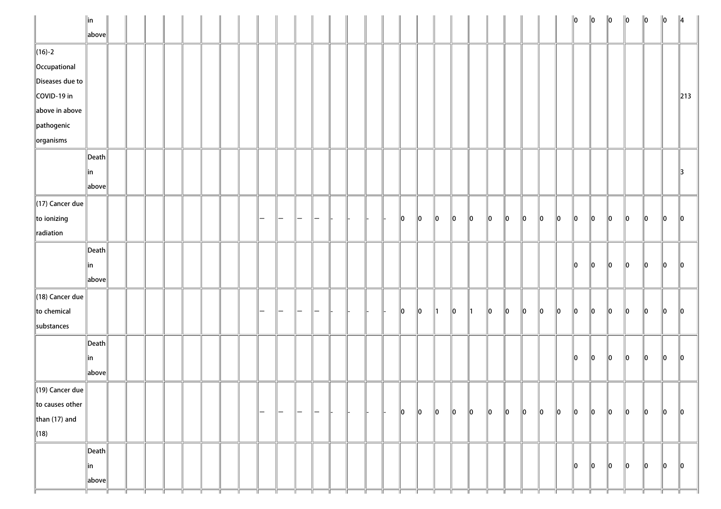|                             | $\ $ in                                |  |   |  |  |   |   |          |  |     |             |    |               |    |         |    |    |             |               |             | $\ 0\ $ | $\ 0\ $     | $\ 0\ $       | $\ 0\ $     | $\ 0\ $     | $\ 0\ $      | $\parallel$ 4   |
|-----------------------------|----------------------------------------|--|---|--|--|---|---|----------|--|-----|-------------|----|---------------|----|---------|----|----|-------------|---------------|-------------|---------|-------------|---------------|-------------|-------------|--------------|-----------------|
|                             | $\ $ above $\ $                        |  |   |  |  |   |   |          |  |     |             |    |               |    |         |    |    |             |               |             |         |             |               |             |             |              |                 |
| $\ $ (16)-2                 |                                        |  |   |  |  |   |   |          |  |     |             |    |               |    |         |    |    |             |               |             |         |             |               |             |             |              |                 |
| Occupational                |                                        |  |   |  |  |   |   |          |  |     |             |    |               |    |         |    |    |             |               |             |         |             |               |             |             |              |                 |
| Diseases due to             |                                        |  |   |  |  |   |   |          |  |     |             |    |               |    |         |    |    |             |               |             |         |             |               |             |             |              |                 |
| COVID-19 in                 |                                        |  |   |  |  |   |   |          |  |     |             |    |               |    |         |    |    |             |               |             |         |             |               |             |             |              | $\parallel$ 213 |
| above in above              |                                        |  |   |  |  |   |   |          |  |     |             |    |               |    |         |    |    |             |               |             |         |             |               |             |             |              |                 |
| pathogenic                  |                                        |  |   |  |  |   |   |          |  |     |             |    |               |    |         |    |    |             |               |             |         |             |               |             |             |              |                 |
| $\alpha$ organisms          |                                        |  |   |  |  |   |   |          |  |     |             |    |               |    |         |    |    |             |               |             |         |             |               |             |             |              |                 |
|                             | $\vert$ Death $\vert$                  |  |   |  |  |   |   |          |  |     |             |    |               |    |         |    |    |             |               |             |         |             |               |             |             |              |                 |
|                             | ∥in                                    |  |   |  |  |   |   |          |  |     |             |    |               |    |         |    |    |             |               |             |         |             |               |             |             |              | 13              |
|                             | $\ $ above $\ $                        |  |   |  |  |   |   |          |  |     |             |    |               |    |         |    |    |             |               |             |         |             |               |             |             |              |                 |
| $\ $ (17) Cancer due        |                                        |  |   |  |  |   |   |          |  |     |             |    |               |    |         |    |    |             |               |             |         |             |               |             |             |              |                 |
| $\ $ to ionizing            |                                        |  |   |  |  |   | - |          |  |     | $\ 0\ $     | 10 | $\ 0\ $       | 10 | $\ 0\ $ | 10 | 10 | $ 0\rangle$ | $\parallel$ 0 | $ 0\rangle$ | 10      | $ 0\rangle$ | $\ 0\ $       | $\ 0\ $     | $\ 0\ $     | $\ 0\ $      | $\ 0\ $         |
| radiation                   |                                        |  |   |  |  |   |   |          |  |     |             |    |               |    |         |    |    |             |               |             |         |             |               |             |             |              |                 |
|                             | $\vert$ Death $\vert$                  |  |   |  |  |   |   |          |  |     |             |    |               |    |         |    |    |             |               |             |         |             |               |             |             |              |                 |
|                             | ∥in                                    |  |   |  |  |   |   |          |  |     |             |    |               |    |         |    |    |             |               |             | 10      | 10          | $\parallel$ 0 | 10          | 10          | 10           | <b>O</b>        |
|                             | $\ $ above $\ $                        |  |   |  |  |   |   |          |  |     |             |    |               |    |         |    |    |             |               |             |         |             |               |             |             |              |                 |
| $\parallel$ (18) Cancer due |                                        |  |   |  |  |   |   |          |  |     |             |    |               |    |         |    |    |             |               |             |         |             |               |             |             |              |                 |
| to chemical                 |                                        |  |   |  |  |   | — | <b>–</b> |  | ll- | $ 0\rangle$ | 10 | $\parallel$ 1 | 10 | ∥1      | 10 | 10 | 10          | 10            | $ 0\rangle$ | 10      | $ 0\rangle$ | $\ 0\ $       | 10          | $ 0\rangle$ | $\mathbf{I}$ | 10              |
| substances                  |                                        |  |   |  |  |   |   |          |  |     |             |    |               |    |         |    |    |             |               |             |         |             |               |             |             |              |                 |
|                             |                                        |  |   |  |  |   |   |          |  |     |             |    |               |    |         |    |    |             |               |             |         |             |               |             |             |              |                 |
|                             | $\left\Vert \mathsf{Death}\right\Vert$ |  |   |  |  |   |   |          |  |     |             |    |               |    |         |    |    |             |               |             |         |             |               |             |             |              |                 |
|                             | ∥in                                    |  |   |  |  |   |   |          |  |     |             |    |               |    |         |    |    |             |               |             | 10      | 10          | 10            | 10          | 10          | $\mathbf{I}$ | 10              |
|                             | $\ $ above $\ $                        |  |   |  |  |   |   |          |  |     |             |    |               |    |         |    |    |             |               |             |         |             |               |             |             |              |                 |
| $\ $ (19) Cancer due        |                                        |  |   |  |  |   |   |          |  |     |             |    |               |    |         |    |    |             |               |             |         |             |               |             |             |              |                 |
| to causes other             |                                        |  |   |  |  | - | — |          |  |     | 10          | 10 | $\ 0\ $       | 10 | $\ 0\ $ | 10 | 10 | $ 0\rangle$ | 10            | $ 0\rangle$ | 10      | $ 0\rangle$ | $\ 0\ $       | $ 0\rangle$ | $\ 0\ $     | $\ 0\ $      | 10              |
| than $(17)$ and             |                                        |  |   |  |  |   |   |          |  |     |             |    |               |    |         |    |    |             |               |             |         |             |               |             |             |              |                 |
| (18)                        |                                        |  |   |  |  |   |   |          |  |     |             |    |               |    |         |    |    |             |               |             |         |             |               |             |             |              |                 |
|                             | $\ $ Death $\ $                        |  |   |  |  |   |   |          |  |     |             |    |               |    |         |    |    |             |               |             |         |             |               |             |             |              |                 |
|                             | ∥in                                    |  |   |  |  |   |   |          |  |     |             |    |               |    |         |    |    |             |               |             | 10      | $ 0\rangle$ | 10            | 10          | 10          | $ 0\rangle$  | $\ 0\ $         |
|                             | $\ $ above $\ $                        |  | Ш |  |  |   |   |          |  |     |             |    |               |    |         |    |    | Ш           |               |             |         |             |               |             |             |              |                 |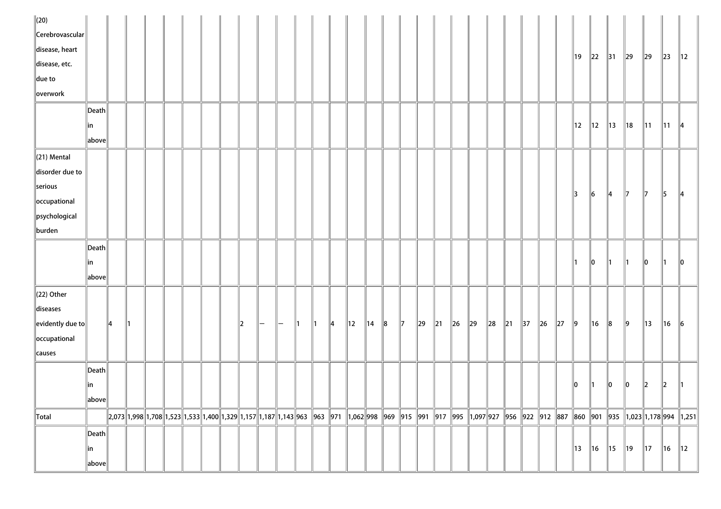| $\Vert$ (20)                  |                       |    |    |  |  |                                                                                                                                                                                                                                     |                |          |    |    |               |            |                |   |               |    |          |         |          |        |          |                |         |        |                |                |                |                |                |                |                                                                                                                             |
|-------------------------------|-----------------------|----|----|--|--|-------------------------------------------------------------------------------------------------------------------------------------------------------------------------------------------------------------------------------------|----------------|----------|----|----|---------------|------------|----------------|---|---------------|----|----------|---------|----------|--------|----------|----------------|---------|--------|----------------|----------------|----------------|----------------|----------------|----------------|-----------------------------------------------------------------------------------------------------------------------------|
| Cerebrovascular               |                       |    |    |  |  |                                                                                                                                                                                                                                     |                |          |    |    |               |            |                |   |               |    |          |         |          |        |          |                |         |        |                |                |                |                |                |                |                                                                                                                             |
| disease, heart                |                       |    |    |  |  |                                                                                                                                                                                                                                     |                |          |    |    |               |            |                |   |               |    |          |         |          |        |          |                |         |        | 19             | $\parallel$ 22 | $\parallel$ 31 | $\parallel$ 29 | $\parallel$ 29 | $\ 23\ $       | $\parallel$ 12                                                                                                              |
| disease, etc.                 |                       |    |    |  |  |                                                                                                                                                                                                                                     |                |          |    |    |               |            |                |   |               |    |          |         |          |        |          |                |         |        |                |                |                |                |                |                |                                                                                                                             |
| due to                        |                       |    |    |  |  |                                                                                                                                                                                                                                     |                |          |    |    |               |            |                |   |               |    |          |         |          |        |          |                |         |        |                |                |                |                |                |                |                                                                                                                             |
| overwork                      |                       |    |    |  |  |                                                                                                                                                                                                                                     |                |          |    |    |               |            |                |   |               |    |          |         |          |        |          |                |         |        |                |                |                |                |                |                |                                                                                                                             |
|                               | Death                 |    |    |  |  |                                                                                                                                                                                                                                     |                |          |    |    |               |            |                |   |               |    |          |         |          |        |          |                |         |        |                |                |                |                |                |                |                                                                                                                             |
|                               | in                    |    |    |  |  |                                                                                                                                                                                                                                     |                |          |    |    |               |            |                |   |               |    |          |         |          |        |          |                |         |        | 12             | $\parallel$ 12 | $\parallel$ 13 | $\parallel$ 18 | $\parallel$ 11 | $\parallel$ 11 | $\parallel$ 4                                                                                                               |
|                               | above                 |    |    |  |  |                                                                                                                                                                                                                                     |                |          |    |    |               |            |                |   |               |    |          |         |          |        |          |                |         |        |                |                |                |                |                |                |                                                                                                                             |
| $(21)$ Mental                 |                       |    |    |  |  |                                                                                                                                                                                                                                     |                |          |    |    |               |            |                |   |               |    |          |         |          |        |          |                |         |        |                |                |                |                |                |                |                                                                                                                             |
| disorder due to               |                       |    |    |  |  |                                                                                                                                                                                                                                     |                |          |    |    |               |            |                |   |               |    |          |         |          |        |          |                |         |        |                |                |                |                |                |                |                                                                                                                             |
| serious                       |                       |    |    |  |  |                                                                                                                                                                                                                                     |                |          |    |    |               |            |                |   |               |    |          |         |          |        |          |                |         |        | 13             | $\vert$ 6      |                | $\parallel$ 7  | $\parallel$ 7  |                |                                                                                                                             |
| occupational                  |                       |    |    |  |  |                                                                                                                                                                                                                                     |                |          |    |    |               |            |                |   |               |    |          |         |          |        |          |                |         |        |                |                | $\parallel 4$  |                |                | $\parallel$ 5  | $\parallel$ 4                                                                                                               |
| psychological                 |                       |    |    |  |  |                                                                                                                                                                                                                                     |                |          |    |    |               |            |                |   |               |    |          |         |          |        |          |                |         |        |                |                |                |                |                |                |                                                                                                                             |
| burden                        |                       |    |    |  |  |                                                                                                                                                                                                                                     |                |          |    |    |               |            |                |   |               |    |          |         |          |        |          |                |         |        |                |                |                |                |                |                |                                                                                                                             |
|                               | Death                 |    |    |  |  |                                                                                                                                                                                                                                     |                |          |    |    |               |            |                |   |               |    |          |         |          |        |          |                |         |        |                |                |                |                |                |                |                                                                                                                             |
|                               | in                    |    |    |  |  |                                                                                                                                                                                                                                     |                |          |    |    |               |            |                |   |               |    |          |         |          |        |          |                |         |        |                | 10             | II 1           |                | 10             | ∥1             | $\parallel$ 0                                                                                                               |
|                               | $\ $ above $\ $       |    |    |  |  |                                                                                                                                                                                                                                     |                |          |    |    |               |            |                |   |               |    |          |         |          |        |          |                |         |        |                |                |                |                |                |                |                                                                                                                             |
| $(22)$ Other                  |                       |    |    |  |  |                                                                                                                                                                                                                                     |                |          |    |    |               |            |                |   |               |    |          |         |          |        |          |                |         |        |                |                |                |                |                |                |                                                                                                                             |
| diseases                      |                       |    |    |  |  |                                                                                                                                                                                                                                     |                |          |    |    |               |            |                |   |               |    |          |         |          |        |          |                |         |        |                |                |                |                |                |                |                                                                                                                             |
| $\left\Vert$ evidently due to |                       | 14 | ∥1 |  |  | 2                                                                                                                                                                                                                                   | $\overline{ }$ | $\vdash$ | ∥1 | 11 | $\parallel$ 4 | $\vert$ 12 | $\parallel$ 14 | 8 | $\parallel$ 7 | 29 | $\ 21\ $ | $\ $ 26 | $\ 29\ $ | $\ 28$ | $\ 21\ $ | $\parallel$ 37 | $\ $ 26 | $\ 27$ | $\vert$ 9      | $\parallel$ 16 | 8              | $\ 9\ $        | 13             | 16             | $\parallel$ 6                                                                                                               |
| occupational                  |                       |    |    |  |  |                                                                                                                                                                                                                                     |                |          |    |    |               |            |                |   |               |    |          |         |          |        |          |                |         |        |                |                |                |                |                |                |                                                                                                                             |
| causes                        |                       |    |    |  |  |                                                                                                                                                                                                                                     |                |          |    |    |               |            |                |   |               |    |          |         |          |        |          |                |         |        |                |                |                |                |                |                |                                                                                                                             |
|                               | $ $ Death $ $         |    |    |  |  |                                                                                                                                                                                                                                     |                |          |    |    |               |            |                |   |               |    |          |         |          |        |          |                |         |        |                |                |                |                |                |                |                                                                                                                             |
|                               | in                    |    |    |  |  |                                                                                                                                                                                                                                     |                |          |    |    |               |            |                |   |               |    |          |         |          |        |          |                |         |        | 10             | Ш              | 10             | 10             | $\parallel$ 2  | $\mathbb{I}2$  |                                                                                                                             |
|                               | $\ $ above $\ $       |    |    |  |  |                                                                                                                                                                                                                                     |                |          |    |    |               |            |                |   |               |    |          |         |          |        |          |                |         |        |                |                |                |                |                |                |                                                                                                                             |
| Total                         |                       |    |    |  |  | $\parallel$ 2,073 $\parallel$ 1,998 $\parallel$ 1,708 $\parallel$ 1,523 $\parallel$ 1,533 $\parallel$ 1,400 $\parallel$ 1,329 $\parallel$ 1,157 $\parallel$ 1,187 $\parallel$ 1,143 $\parallel$ 963 $\parallel$ 963 $\parallel$ 971 |                |          |    |    |               |            |                |   |               |    |          |         |          |        |          |                |         |        |                |                |                |                |                |                | 1,062  998   969   915   991   917   995   1,097  927   956   922   912   887   860   901   935   1,023  1,178  994   1,251 |
|                               | $\vert$ Death $\vert$ |    |    |  |  |                                                                                                                                                                                                                                     |                |          |    |    |               |            |                |   |               |    |          |         |          |        |          |                |         |        |                |                |                |                |                |                |                                                                                                                             |
|                               | in                    |    |    |  |  |                                                                                                                                                                                                                                     |                |          |    |    |               |            |                |   |               |    |          |         |          |        |          |                |         |        | $\parallel$ 13 | $\parallel$ 16 | $\parallel$ 15 | $\parallel$ 19 | $\parallel$ 17 | $\parallel$ 16 | $\parallel$ 12 $\parallel$                                                                                                  |
|                               | above                 |    |    |  |  |                                                                                                                                                                                                                                     |                |          |    |    |               |            |                |   |               |    |          |         |          |        |          |                |         |        |                |                |                |                |                |                |                                                                                                                             |